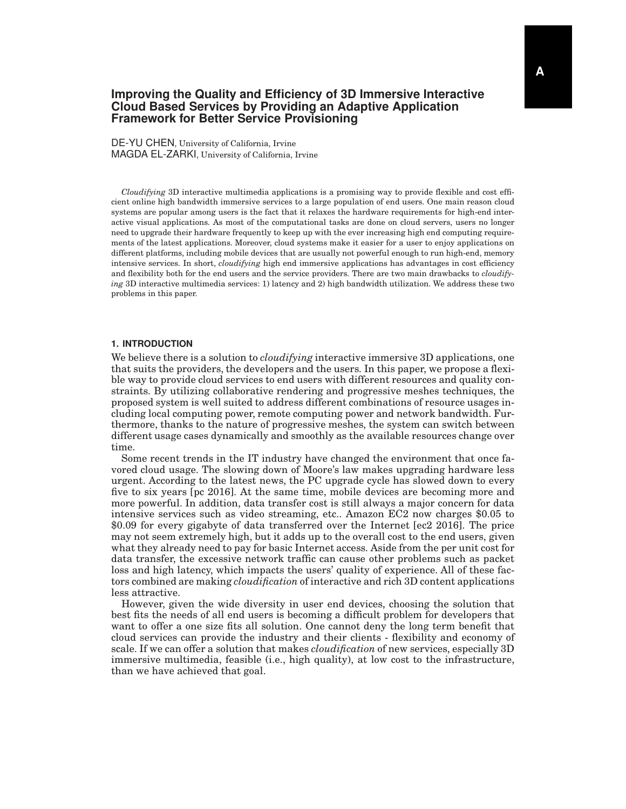# **Improving the Quality and Efficiency of 3D Immersive Interactive Cloud Based Services by Providing an Adaptive Application Framework for Better Service Provisioning**

DE-YU CHEN, University of California, Irvine MAGDA EL-ZARKI, University of California, Irvine

*Cloudifying* 3D interactive multimedia applications is a promising way to provide flexible and cost efficient online high bandwidth immersive services to a large population of end users. One main reason cloud systems are popular among users is the fact that it relaxes the hardware requirements for high-end interactive visual applications. As most of the computational tasks are done on cloud servers, users no longer need to upgrade their hardware frequently to keep up with the ever increasing high end computing requirements of the latest applications. Moreover, cloud systems make it easier for a user to enjoy applications on different platforms, including mobile devices that are usually not powerful enough to run high-end, memory intensive services. In short, *cloudifying* high end immersive applications has advantages in cost efficiency and flexibility both for the end users and the service providers. There are two main drawbacks to *cloudifying* 3D interactive multimedia services: 1) latency and 2) high bandwidth utilization. We address these two problems in this paper.

## **1. INTRODUCTION**

We believe there is a solution to *cloudifying* interactive immersive 3D applications, one that suits the providers, the developers and the users. In this paper, we propose a flexible way to provide cloud services to end users with different resources and quality constraints. By utilizing collaborative rendering and progressive meshes techniques, the proposed system is well suited to address different combinations of resource usages including local computing power, remote computing power and network bandwidth. Furthermore, thanks to the nature of progressive meshes, the system can switch between different usage cases dynamically and smoothly as the available resources change over time.

Some recent trends in the IT industry have changed the environment that once favored cloud usage. The slowing down of Moore's law makes upgrading hardware less urgent. According to the latest news, the PC upgrade cycle has slowed down to every five to six years [pc 2016]. At the same time, mobile devices are becoming more and more powerful. In addition, data transfer cost is still always a major concern for data intensive services such as video streaming, etc.. Amazon EC2 now charges \$0.05 to \$0.09 for every gigabyte of data transferred over the Internet [ec2 2016]. The price may not seem extremely high, but it adds up to the overall cost to the end users, given what they already need to pay for basic Internet access. Aside from the per unit cost for data transfer, the excessive network traffic can cause other problems such as packet loss and high latency, which impacts the users' quality of experience. All of these factors combined are making *cloudification* of interactive and rich 3D content applications less attractive.

However, given the wide diversity in user end devices, choosing the solution that best fits the needs of all end users is becoming a difficult problem for developers that want to offer a one size fits all solution. One cannot deny the long term benefit that cloud services can provide the industry and their clients - flexibility and economy of scale. If we can offer a solution that makes *cloudification* of new services, especially 3D immersive multimedia, feasible (i.e., high quality), at low cost to the infrastructure, than we have achieved that goal.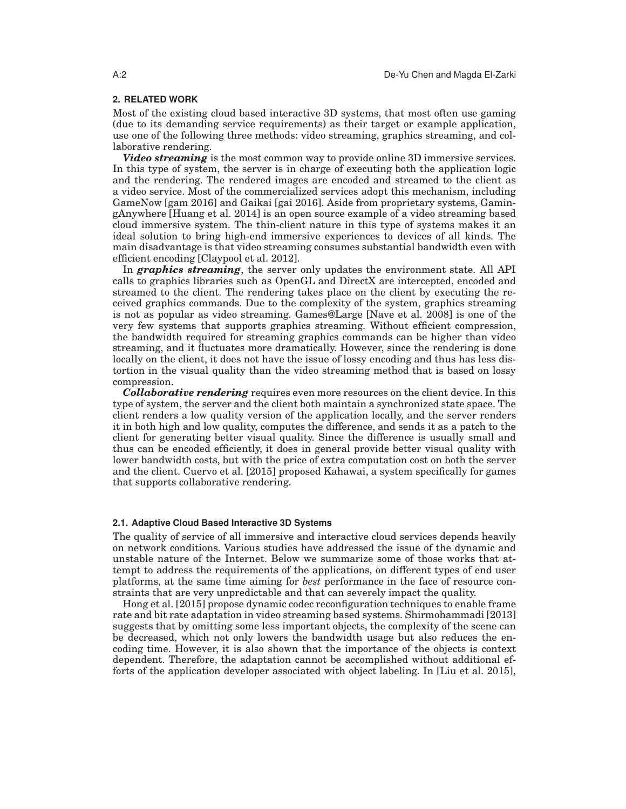## **2. RELATED WORK**

Most of the existing cloud based interactive 3D systems, that most often use gaming (due to its demanding service requirements) as their target or example application, use one of the following three methods: video streaming, graphics streaming, and collaborative rendering.

*Video streaming* is the most common way to provide online 3D immersive services. In this type of system, the server is in charge of executing both the application logic and the rendering. The rendered images are encoded and streamed to the client as a video service. Most of the commercialized services adopt this mechanism, including GameNow [gam 2016] and Gaikai [gai 2016]. Aside from proprietary systems, GamingAnywhere [Huang et al. 2014] is an open source example of a video streaming based cloud immersive system. The thin-client nature in this type of systems makes it an ideal solution to bring high-end immersive experiences to devices of all kinds. The main disadvantage is that video streaming consumes substantial bandwidth even with efficient encoding [Claypool et al. 2012].

In *graphics streaming*, the server only updates the environment state. All API calls to graphics libraries such as OpenGL and DirectX are intercepted, encoded and streamed to the client. The rendering takes place on the client by executing the received graphics commands. Due to the complexity of the system, graphics streaming is not as popular as video streaming. Games@Large [Nave et al. 2008] is one of the very few systems that supports graphics streaming. Without efficient compression, the bandwidth required for streaming graphics commands can be higher than video streaming, and it fluctuates more dramatically. However, since the rendering is done locally on the client, it does not have the issue of lossy encoding and thus has less distortion in the visual quality than the video streaming method that is based on lossy compression.

*Collaborative rendering* requires even more resources on the client device. In this type of system, the server and the client both maintain a synchronized state space. The client renders a low quality version of the application locally, and the server renders it in both high and low quality, computes the difference, and sends it as a patch to the client for generating better visual quality. Since the difference is usually small and thus can be encoded efficiently, it does in general provide better visual quality with lower bandwidth costs, but with the price of extra computation cost on both the server and the client. Cuervo et al. [2015] proposed Kahawai, a system specifically for games that supports collaborative rendering.

## **2.1. Adaptive Cloud Based Interactive 3D Systems**

The quality of service of all immersive and interactive cloud services depends heavily on network conditions. Various studies have addressed the issue of the dynamic and unstable nature of the Internet. Below we summarize some of those works that attempt to address the requirements of the applications, on different types of end user platforms, at the same time aiming for *best* performance in the face of resource constraints that are very unpredictable and that can severely impact the quality.

Hong et al. [2015] propose dynamic codec reconfiguration techniques to enable frame rate and bit rate adaptation in video streaming based systems. Shirmohammadi [2013] suggests that by omitting some less important objects, the complexity of the scene can be decreased, which not only lowers the bandwidth usage but also reduces the encoding time. However, it is also shown that the importance of the objects is context dependent. Therefore, the adaptation cannot be accomplished without additional efforts of the application developer associated with object labeling. In [Liu et al. 2015],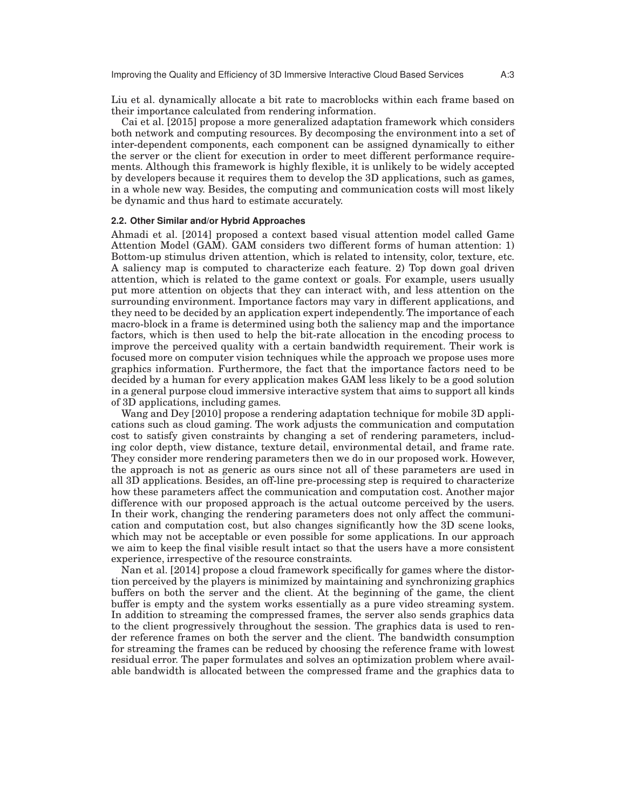Liu et al. dynamically allocate a bit rate to macroblocks within each frame based on their importance calculated from rendering information.

Cai et al. [2015] propose a more generalized adaptation framework which considers both network and computing resources. By decomposing the environment into a set of inter-dependent components, each component can be assigned dynamically to either the server or the client for execution in order to meet different performance requirements. Although this framework is highly flexible, it is unlikely to be widely accepted by developers because it requires them to develop the 3D applications, such as games, in a whole new way. Besides, the computing and communication costs will most likely be dynamic and thus hard to estimate accurately.

### **2.2. Other Similar and/or Hybrid Approaches**

Ahmadi et al. [2014] proposed a context based visual attention model called Game Attention Model (GAM). GAM considers two different forms of human attention: 1) Bottom-up stimulus driven attention, which is related to intensity, color, texture, etc. A saliency map is computed to characterize each feature. 2) Top down goal driven attention, which is related to the game context or goals. For example, users usually put more attention on objects that they can interact with, and less attention on the surrounding environment. Importance factors may vary in different applications, and they need to be decided by an application expert independently. The importance of each macro-block in a frame is determined using both the saliency map and the importance factors, which is then used to help the bit-rate allocation in the encoding process to improve the perceived quality with a certain bandwidth requirement. Their work is focused more on computer vision techniques while the approach we propose uses more graphics information. Furthermore, the fact that the importance factors need to be decided by a human for every application makes GAM less likely to be a good solution in a general purpose cloud immersive interactive system that aims to support all kinds of 3D applications, including games.

Wang and Dey [2010] propose a rendering adaptation technique for mobile 3D applications such as cloud gaming. The work adjusts the communication and computation cost to satisfy given constraints by changing a set of rendering parameters, including color depth, view distance, texture detail, environmental detail, and frame rate. They consider more rendering parameters then we do in our proposed work. However, the approach is not as generic as ours since not all of these parameters are used in all 3D applications. Besides, an off-line pre-processing step is required to characterize how these parameters affect the communication and computation cost. Another major difference with our proposed approach is the actual outcome perceived by the users. In their work, changing the rendering parameters does not only affect the communication and computation cost, but also changes significantly how the 3D scene looks, which may not be acceptable or even possible for some applications. In our approach we aim to keep the final visible result intact so that the users have a more consistent experience, irrespective of the resource constraints.

Nan et al. [2014] propose a cloud framework specifically for games where the distortion perceived by the players is minimized by maintaining and synchronizing graphics buffers on both the server and the client. At the beginning of the game, the client buffer is empty and the system works essentially as a pure video streaming system. In addition to streaming the compressed frames, the server also sends graphics data to the client progressively throughout the session. The graphics data is used to render reference frames on both the server and the client. The bandwidth consumption for streaming the frames can be reduced by choosing the reference frame with lowest residual error. The paper formulates and solves an optimization problem where available bandwidth is allocated between the compressed frame and the graphics data to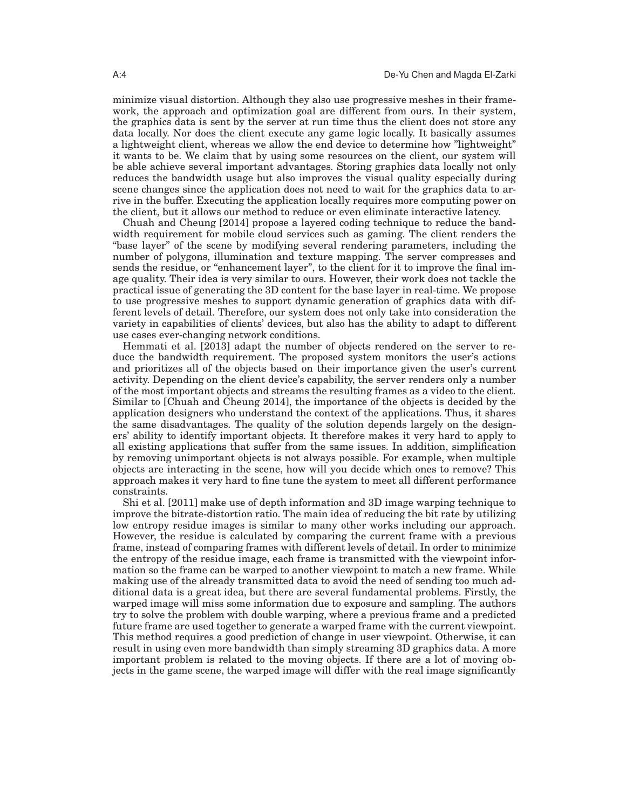minimize visual distortion. Although they also use progressive meshes in their framework, the approach and optimization goal are different from ours. In their system, the graphics data is sent by the server at run time thus the client does not store any data locally. Nor does the client execute any game logic locally. It basically assumes a lightweight client, whereas we allow the end device to determine how "lightweight" it wants to be. We claim that by using some resources on the client, our system will be able achieve several important advantages. Storing graphics data locally not only reduces the bandwidth usage but also improves the visual quality especially during scene changes since the application does not need to wait for the graphics data to arrive in the buffer. Executing the application locally requires more computing power on the client, but it allows our method to reduce or even eliminate interactive latency.

Chuah and Cheung [2014] propose a layered coding technique to reduce the bandwidth requirement for mobile cloud services such as gaming. The client renders the "base layer" of the scene by modifying several rendering parameters, including the number of polygons, illumination and texture mapping. The server compresses and sends the residue, or "enhancement layer", to the client for it to improve the final image quality. Their idea is very similar to ours. However, their work does not tackle the practical issue of generating the 3D content for the base layer in real-time. We propose to use progressive meshes to support dynamic generation of graphics data with different levels of detail. Therefore, our system does not only take into consideration the variety in capabilities of clients' devices, but also has the ability to adapt to different use cases ever-changing network conditions.

Hemmati et al. [2013] adapt the number of objects rendered on the server to reduce the bandwidth requirement. The proposed system monitors the user's actions and prioritizes all of the objects based on their importance given the user's current activity. Depending on the client device's capability, the server renders only a number of the most important objects and streams the resulting frames as a video to the client. Similar to [Chuah and Cheung 2014], the importance of the objects is decided by the application designers who understand the context of the applications. Thus, it shares the same disadvantages. The quality of the solution depends largely on the designers' ability to identify important objects. It therefore makes it very hard to apply to all existing applications that suffer from the same issues. In addition, simplification by removing unimportant objects is not always possible. For example, when multiple objects are interacting in the scene, how will you decide which ones to remove? This approach makes it very hard to fine tune the system to meet all different performance constraints.

Shi et al. [2011] make use of depth information and 3D image warping technique to improve the bitrate-distortion ratio. The main idea of reducing the bit rate by utilizing low entropy residue images is similar to many other works including our approach. However, the residue is calculated by comparing the current frame with a previous frame, instead of comparing frames with different levels of detail. In order to minimize the entropy of the residue image, each frame is transmitted with the viewpoint information so the frame can be warped to another viewpoint to match a new frame. While making use of the already transmitted data to avoid the need of sending too much additional data is a great idea, but there are several fundamental problems. Firstly, the warped image will miss some information due to exposure and sampling. The authors try to solve the problem with double warping, where a previous frame and a predicted future frame are used together to generate a warped frame with the current viewpoint. This method requires a good prediction of change in user viewpoint. Otherwise, it can result in using even more bandwidth than simply streaming 3D graphics data. A more important problem is related to the moving objects. If there are a lot of moving objects in the game scene, the warped image will differ with the real image significantly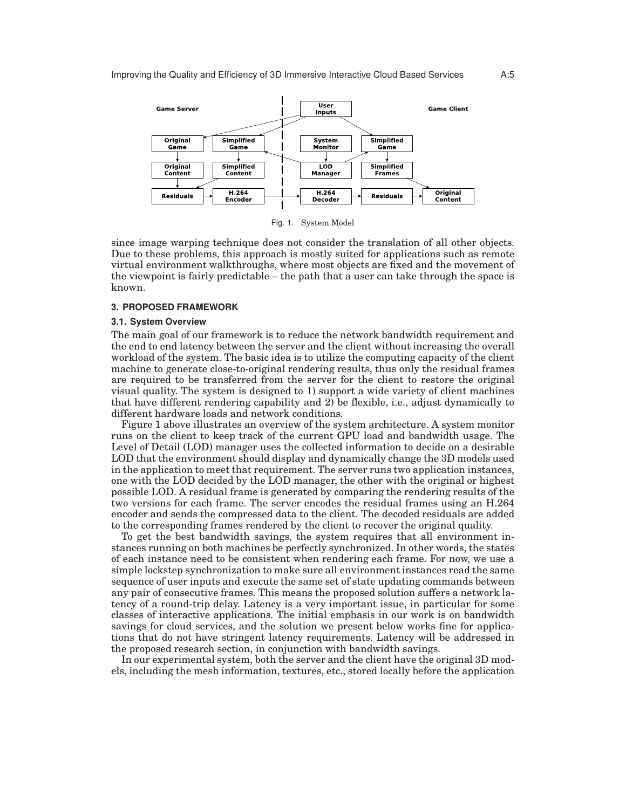Improving the Quality and Efficiency of 3D Immersive Interactive Cloud Based Services A:5



Fig. 1. System Model

since image warping technique does not consider the translation of all other objects. Due to these problems, this approach is mostly suited for applications such as remote virtual environment walkthroughs, where most objects are fixed and the movement of the viewpoint is fairly predictable – the path that a user can take through the space is known.

### **3. PROPOSED FRAMEWORK**

#### **3.1. System Overview**

The main goal of our framework is to reduce the network bandwidth requirement and the end to end latency between the server and the client without increasing the overall workload of the system. The basic idea is to utilize the computing capacity of the client machine to generate close-to-original rendering results, thus only the residual frames are required to be transferred from the server for the client to restore the original visual quality. The system is designed to 1) support a wide variety of client machines that have different rendering capability and 2) be flexible, i.e., adjust dynamically to different hardware loads and network conditions.

Figure 1 above illustrates an overview of the system architecture. A system monitor runs on the client to keep track of the current GPU load and bandwidth usage. The Level of Detail (LOD) manager uses the collected information to decide on a desirable LOD that the environment should display and dynamically change the 3D models used in the application to meet that requirement. The server runs two application instances, one with the LOD decided by the LOD manager, the other with the original or highest possible LOD. A residual frame is generated by comparing the rendering results of the two versions for each frame. The server encodes the residual frames using an H.264 encoder and sends the compressed data to the client. The decoded residuals are added to the corresponding frames rendered by the client to recover the original quality.

To get the best bandwidth savings, the system requires that all environment instances running on both machines be perfectly synchronized. In other words, the states of each instance need to be consistent when rendering each frame. For now, we use a simple lockstep synchronization to make sure all environment instances read the same sequence of user inputs and execute the same set of state updating commands between any pair of consecutive frames. This means the proposed solution suffers a network latency of a round-trip delay. Latency is a very important issue, in particular for some classes of interactive applications. The initial emphasis in our work is on bandwidth savings for cloud services, and the solution we present below works fine for applications that do not have stringent latency requirements. Latency will be addressed in the proposed research section, in conjunction with bandwidth savings.

In our experimental system, both the server and the client have the original 3D models, including the mesh information, textures, etc., stored locally before the application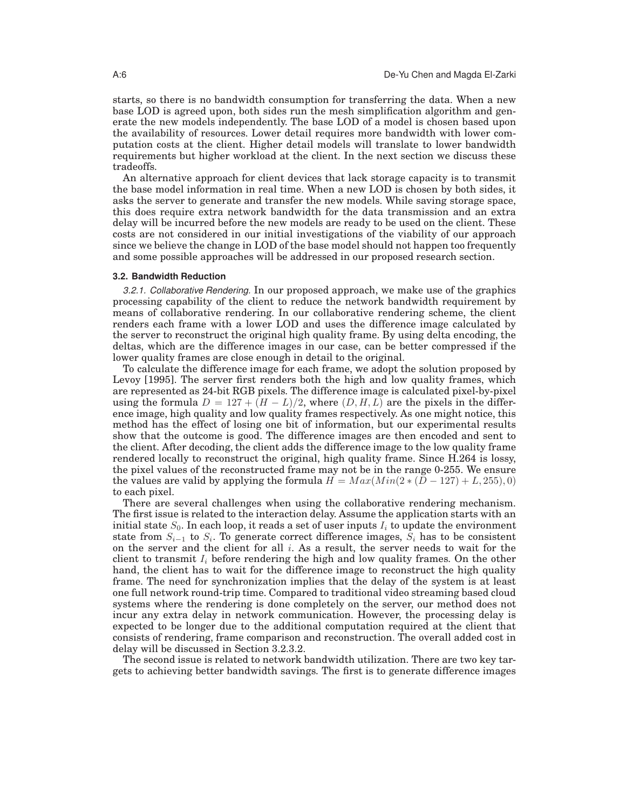starts, so there is no bandwidth consumption for transferring the data. When a new base LOD is agreed upon, both sides run the mesh simplification algorithm and generate the new models independently. The base LOD of a model is chosen based upon the availability of resources. Lower detail requires more bandwidth with lower computation costs at the client. Higher detail models will translate to lower bandwidth requirements but higher workload at the client. In the next section we discuss these tradeoffs.

An alternative approach for client devices that lack storage capacity is to transmit the base model information in real time. When a new LOD is chosen by both sides, it asks the server to generate and transfer the new models. While saving storage space, this does require extra network bandwidth for the data transmission and an extra delay will be incurred before the new models are ready to be used on the client. These costs are not considered in our initial investigations of the viability of our approach since we believe the change in LOD of the base model should not happen too frequently and some possible approaches will be addressed in our proposed research section.

#### **3.2. Bandwidth Reduction**

*3.2.1. Collaborative Rendering.* In our proposed approach, we make use of the graphics processing capability of the client to reduce the network bandwidth requirement by means of collaborative rendering. In our collaborative rendering scheme, the client renders each frame with a lower LOD and uses the difference image calculated by the server to reconstruct the original high quality frame. By using delta encoding, the deltas, which are the difference images in our case, can be better compressed if the lower quality frames are close enough in detail to the original.

To calculate the difference image for each frame, we adopt the solution proposed by Levoy [1995]. The server first renders both the high and low quality frames, which are represented as 24-bit RGB pixels. The difference image is calculated pixel-by-pixel using the formula  $D = 127 + (H - L)/2$ , where  $(D, H, L)$  are the pixels in the difference image, high quality and low quality frames respectively. As one might notice, this method has the effect of losing one bit of information, but our experimental results show that the outcome is good. The difference images are then encoded and sent to the client. After decoding, the client adds the difference image to the low quality frame rendered locally to reconstruct the original, high quality frame. Since H.264 is lossy, the pixel values of the reconstructed frame may not be in the range 0-255. We ensure the values are valid by applying the formula  $H = Max(Min(2*(D-127) + L, 255), 0)$ to each pixel.

There are several challenges when using the collaborative rendering mechanism. The first issue is related to the interaction delay. Assume the application starts with an initial state  $S_0$ . In each loop, it reads a set of user inputs  $I_i$  to update the environment state from  $S_{i-1}$  to  $S_i$ . To generate correct difference images,  $S_i$  has to be consistent on the server and the client for all i. As a result, the server needs to wait for the client to transmit  $I_i$  before rendering the high and low quality frames. On the other hand, the client has to wait for the difference image to reconstruct the high quality frame. The need for synchronization implies that the delay of the system is at least one full network round-trip time. Compared to traditional video streaming based cloud systems where the rendering is done completely on the server, our method does not incur any extra delay in network communication. However, the processing delay is expected to be longer due to the additional computation required at the client that consists of rendering, frame comparison and reconstruction. The overall added cost in delay will be discussed in Section 3.2.3.2.

The second issue is related to network bandwidth utilization. There are two key targets to achieving better bandwidth savings. The first is to generate difference images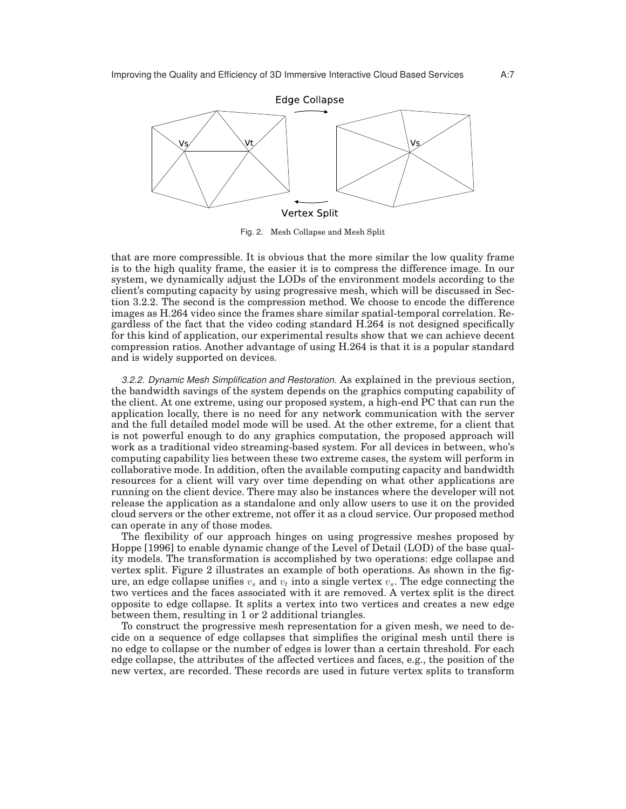

Fig. 2. Mesh Collapse and Mesh Split

that are more compressible. It is obvious that the more similar the low quality frame is to the high quality frame, the easier it is to compress the difference image. In our system, we dynamically adjust the LODs of the environment models according to the client's computing capacity by using progressive mesh, which will be discussed in Section 3.2.2. The second is the compression method. We choose to encode the difference images as H.264 video since the frames share similar spatial-temporal correlation. Regardless of the fact that the video coding standard H.264 is not designed specifically for this kind of application, our experimental results show that we can achieve decent compression ratios. Another advantage of using H.264 is that it is a popular standard and is widely supported on devices.

*3.2.2. Dynamic Mesh Simplification and Restoration.* As explained in the previous section, the bandwidth savings of the system depends on the graphics computing capability of the client. At one extreme, using our proposed system, a high-end PC that can run the application locally, there is no need for any network communication with the server and the full detailed model mode will be used. At the other extreme, for a client that is not powerful enough to do any graphics computation, the proposed approach will work as a traditional video streaming-based system. For all devices in between, who's computing capability lies between these two extreme cases, the system will perform in collaborative mode. In addition, often the available computing capacity and bandwidth resources for a client will vary over time depending on what other applications are running on the client device. There may also be instances where the developer will not release the application as a standalone and only allow users to use it on the provided cloud servers or the other extreme, not offer it as a cloud service. Our proposed method can operate in any of those modes.

The flexibility of our approach hinges on using progressive meshes proposed by Hoppe [1996] to enable dynamic change of the Level of Detail (LOD) of the base quality models. The transformation is accomplished by two operations: edge collapse and vertex split. Figure 2 illustrates an example of both operations. As shown in the figure, an edge collapse unifies  $v_s$  and  $v_t$  into a single vertex  $v_s$ . The edge connecting the two vertices and the faces associated with it are removed. A vertex split is the direct opposite to edge collapse. It splits a vertex into two vertices and creates a new edge between them, resulting in 1 or 2 additional triangles.

To construct the progressive mesh representation for a given mesh, we need to decide on a sequence of edge collapses that simplifies the original mesh until there is no edge to collapse or the number of edges is lower than a certain threshold. For each edge collapse, the attributes of the affected vertices and faces, e.g., the position of the new vertex, are recorded. These records are used in future vertex splits to transform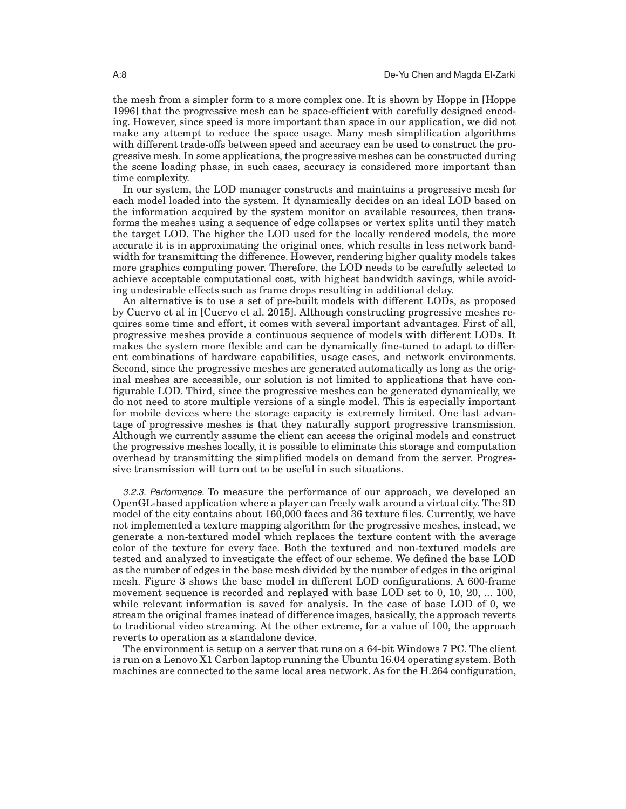the mesh from a simpler form to a more complex one. It is shown by Hoppe in [Hoppe 1996] that the progressive mesh can be space-efficient with carefully designed encoding. However, since speed is more important than space in our application, we did not make any attempt to reduce the space usage. Many mesh simplification algorithms with different trade-offs between speed and accuracy can be used to construct the progressive mesh. In some applications, the progressive meshes can be constructed during the scene loading phase, in such cases, accuracy is considered more important than time complexity.

In our system, the LOD manager constructs and maintains a progressive mesh for each model loaded into the system. It dynamically decides on an ideal LOD based on the information acquired by the system monitor on available resources, then transforms the meshes using a sequence of edge collapses or vertex splits until they match the target LOD. The higher the LOD used for the locally rendered models, the more accurate it is in approximating the original ones, which results in less network bandwidth for transmitting the difference. However, rendering higher quality models takes more graphics computing power. Therefore, the LOD needs to be carefully selected to achieve acceptable computational cost, with highest bandwidth savings, while avoiding undesirable effects such as frame drops resulting in additional delay.

An alternative is to use a set of pre-built models with different LODs, as proposed by Cuervo et al in [Cuervo et al. 2015]. Although constructing progressive meshes requires some time and effort, it comes with several important advantages. First of all, progressive meshes provide a continuous sequence of models with different LODs. It makes the system more flexible and can be dynamically fine-tuned to adapt to different combinations of hardware capabilities, usage cases, and network environments. Second, since the progressive meshes are generated automatically as long as the original meshes are accessible, our solution is not limited to applications that have configurable LOD. Third, since the progressive meshes can be generated dynamically, we do not need to store multiple versions of a single model. This is especially important for mobile devices where the storage capacity is extremely limited. One last advantage of progressive meshes is that they naturally support progressive transmission. Although we currently assume the client can access the original models and construct the progressive meshes locally, it is possible to eliminate this storage and computation overhead by transmitting the simplified models on demand from the server. Progressive transmission will turn out to be useful in such situations.

*3.2.3. Performance.* To measure the performance of our approach, we developed an OpenGL-based application where a player can freely walk around a virtual city. The 3D model of the city contains about 160,000 faces and 36 texture files. Currently, we have not implemented a texture mapping algorithm for the progressive meshes, instead, we generate a non-textured model which replaces the texture content with the average color of the texture for every face. Both the textured and non-textured models are tested and analyzed to investigate the effect of our scheme. We defined the base LOD as the number of edges in the base mesh divided by the number of edges in the original mesh. Figure 3 shows the base model in different LOD configurations. A 600-frame movement sequence is recorded and replayed with base LOD set to 0, 10, 20, ... 100, while relevant information is saved for analysis. In the case of base LOD of 0, we stream the original frames instead of difference images, basically, the approach reverts to traditional video streaming. At the other extreme, for a value of 100, the approach reverts to operation as a standalone device.

The environment is setup on a server that runs on a 64-bit Windows 7 PC. The client is run on a Lenovo X1 Carbon laptop running the Ubuntu 16.04 operating system. Both machines are connected to the same local area network. As for the H.264 configuration,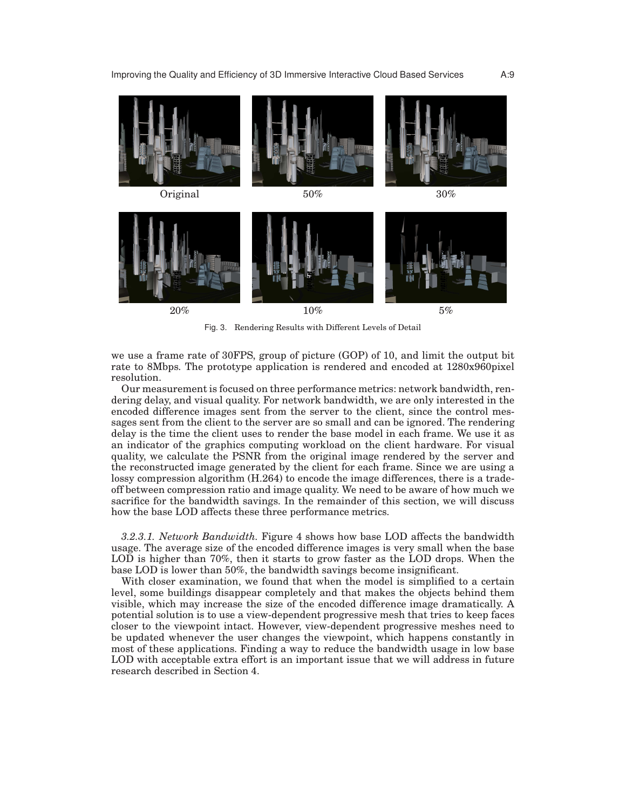

Fig. 3. Rendering Results with Different Levels of Detail

we use a frame rate of 30FPS, group of picture (GOP) of 10, and limit the output bit rate to 8Mbps. The prototype application is rendered and encoded at 1280x960pixel resolution.

Our measurement is focused on three performance metrics: network bandwidth, rendering delay, and visual quality. For network bandwidth, we are only interested in the encoded difference images sent from the server to the client, since the control messages sent from the client to the server are so small and can be ignored. The rendering delay is the time the client uses to render the base model in each frame. We use it as an indicator of the graphics computing workload on the client hardware. For visual quality, we calculate the PSNR from the original image rendered by the server and the reconstructed image generated by the client for each frame. Since we are using a lossy compression algorithm (H.264) to encode the image differences, there is a tradeoff between compression ratio and image quality. We need to be aware of how much we sacrifice for the bandwidth savings. In the remainder of this section, we will discuss how the base LOD affects these three performance metrics.

*3.2.3.1. Network Bandwidth.* Figure 4 shows how base LOD affects the bandwidth usage. The average size of the encoded difference images is very small when the base LOD is higher than 70%, then it starts to grow faster as the LOD drops. When the base LOD is lower than 50%, the bandwidth savings become insignificant.

With closer examination, we found that when the model is simplified to a certain level, some buildings disappear completely and that makes the objects behind them visible, which may increase the size of the encoded difference image dramatically. A potential solution is to use a view-dependent progressive mesh that tries to keep faces closer to the viewpoint intact. However, view-dependent progressive meshes need to be updated whenever the user changes the viewpoint, which happens constantly in most of these applications. Finding a way to reduce the bandwidth usage in low base LOD with acceptable extra effort is an important issue that we will address in future research described in Section 4.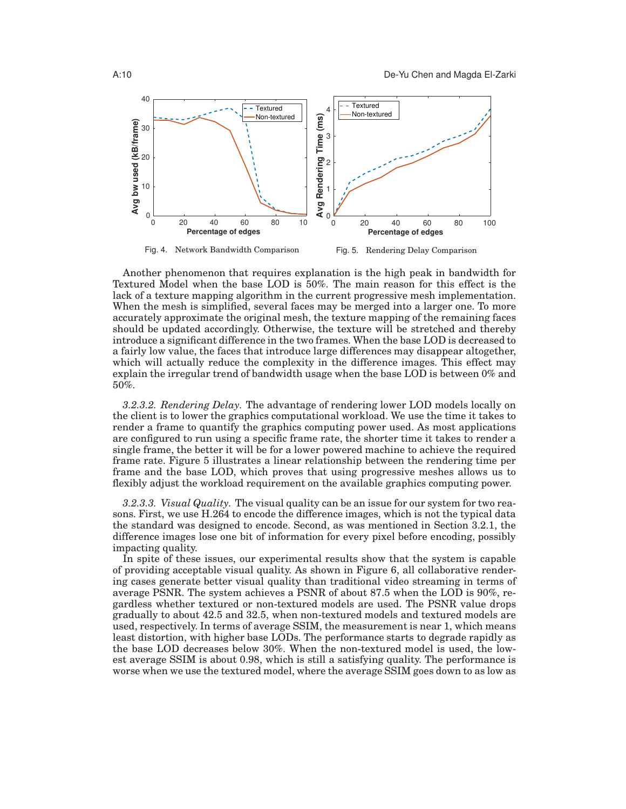

Another phenomenon that requires explanation is the high peak in bandwidth for Textured Model when the base LOD is 50%. The main reason for this effect is the lack of a texture mapping algorithm in the current progressive mesh implementation. When the mesh is simplified, several faces may be merged into a larger one. To more accurately approximate the original mesh, the texture mapping of the remaining faces should be updated accordingly. Otherwise, the texture will be stretched and thereby introduce a significant difference in the two frames. When the base LOD is decreased to a fairly low value, the faces that introduce large differences may disappear altogether, which will actually reduce the complexity in the difference images. This effect may explain the irregular trend of bandwidth usage when the base LOD is between 0% and 50%.

*3.2.3.2. Rendering Delay.* The advantage of rendering lower LOD models locally on the client is to lower the graphics computational workload. We use the time it takes to render a frame to quantify the graphics computing power used. As most applications are configured to run using a specific frame rate, the shorter time it takes to render a single frame, the better it will be for a lower powered machine to achieve the required frame rate. Figure 5 illustrates a linear relationship between the rendering time per frame and the base LOD, which proves that using progressive meshes allows us to flexibly adjust the workload requirement on the available graphics computing power.

*3.2.3.3. Visual Quality.* The visual quality can be an issue for our system for two reasons. First, we use H.264 to encode the difference images, which is not the typical data the standard was designed to encode. Second, as was mentioned in Section 3.2.1, the difference images lose one bit of information for every pixel before encoding, possibly impacting quality.

In spite of these issues, our experimental results show that the system is capable of providing acceptable visual quality. As shown in Figure 6, all collaborative rendering cases generate better visual quality than traditional video streaming in terms of average PSNR. The system achieves a PSNR of about 87.5 when the LOD is 90%, regardless whether textured or non-textured models are used. The PSNR value drops gradually to about 42.5 and 32.5, when non-textured models and textured models are used, respectively. In terms of average SSIM, the measurement is near 1, which means least distortion, with higher base LODs. The performance starts to degrade rapidly as the base LOD decreases below 30%. When the non-textured model is used, the lowest average SSIM is about 0.98, which is still a satisfying quality. The performance is worse when we use the textured model, where the average SSIM goes down to as low as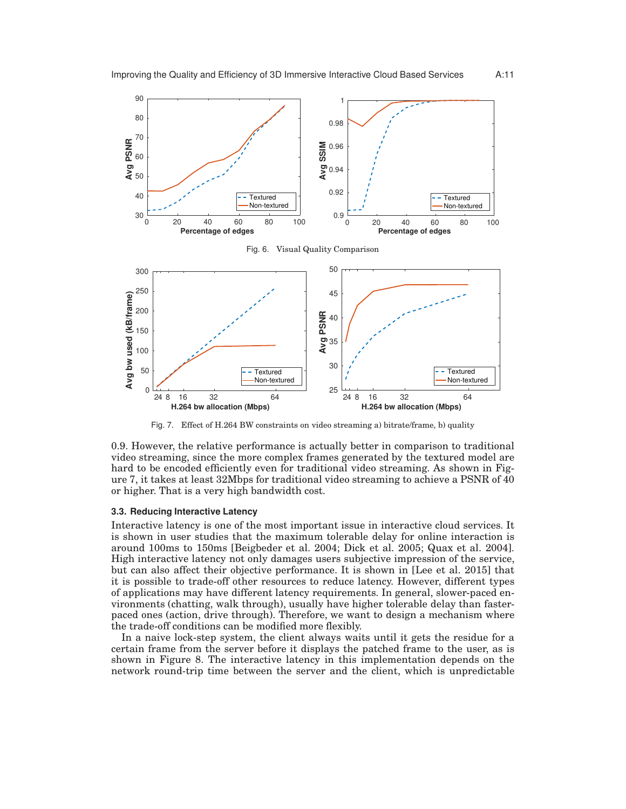

Fig. 7. Effect of H.264 BW constraints on video streaming a) bitrate/frame, b) quality

0.9. However, the relative performance is actually better in comparison to traditional video streaming, since the more complex frames generated by the textured model are hard to be encoded efficiently even for traditional video streaming. As shown in Figure 7, it takes at least 32Mbps for traditional video streaming to achieve a PSNR of 40 or higher. That is a very high bandwidth cost.

## **3.3. Reducing Interactive Latency**

Interactive latency is one of the most important issue in interactive cloud services. It is shown in user studies that the maximum tolerable delay for online interaction is around 100ms to 150ms [Beigbeder et al. 2004; Dick et al. 2005; Quax et al. 2004]. High interactive latency not only damages users subjective impression of the service, but can also affect their objective performance. It is shown in [Lee et al. 2015] that it is possible to trade-off other resources to reduce latency. However, different types of applications may have different latency requirements. In general, slower-paced environments (chatting, walk through), usually have higher tolerable delay than fasterpaced ones (action, drive through). Therefore, we want to design a mechanism where the trade-off conditions can be modified more flexibly.

In a naive lock-step system, the client always waits until it gets the residue for a certain frame from the server before it displays the patched frame to the user, as is shown in Figure 8. The interactive latency in this implementation depends on the network round-trip time between the server and the client, which is unpredictable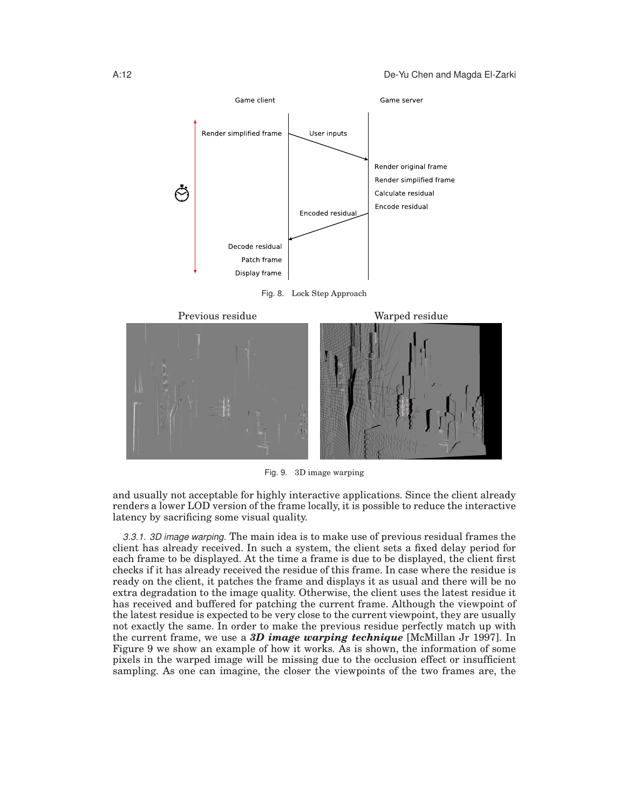

Fig. 8. Lock Step Approach



Fig. 9. 3D image warping

and usually not acceptable for highly interactive applications. Since the client already renders a lower LOD version of the frame locally, it is possible to reduce the interactive latency by sacrificing some visual quality.

*3.3.1. 3D image warping.* The main idea is to make use of previous residual frames the client has already received. In such a system, the client sets a fixed delay period for each frame to be displayed. At the time a frame is due to be displayed, the client first checks if it has already received the residue of this frame. In case where the residue is ready on the client, it patches the frame and displays it as usual and there will be no extra degradation to the image quality. Otherwise, the client uses the latest residue it has received and buffered for patching the current frame. Although the viewpoint of the latest residue is expected to be very close to the current viewpoint, they are usually not exactly the same. In order to make the previous residue perfectly match up with the current frame, we use a *3D image warping technique* [McMillan Jr 1997]. In Figure 9 we show an example of how it works. As is shown, the information of some pixels in the warped image will be missing due to the occlusion effect or insufficient sampling. As one can imagine, the closer the viewpoints of the two frames are, the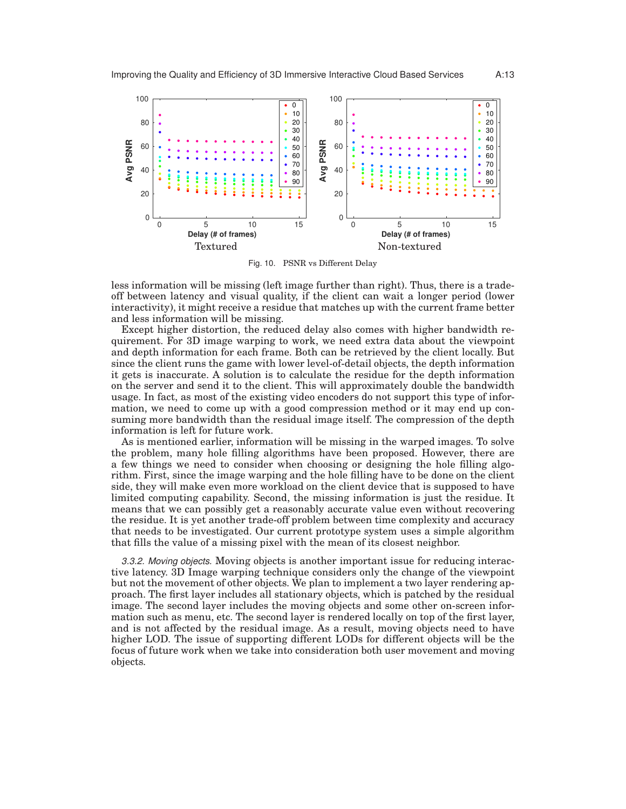

Fig. 10. PSNR vs Different Delay

less information will be missing (left image further than right). Thus, there is a tradeoff between latency and visual quality, if the client can wait a longer period (lower interactivity), it might receive a residue that matches up with the current frame better and less information will be missing.

Except higher distortion, the reduced delay also comes with higher bandwidth requirement. For 3D image warping to work, we need extra data about the viewpoint and depth information for each frame. Both can be retrieved by the client locally. But since the client runs the game with lower level-of-detail objects, the depth information it gets is inaccurate. A solution is to calculate the residue for the depth information on the server and send it to the client. This will approximately double the bandwidth usage. In fact, as most of the existing video encoders do not support this type of information, we need to come up with a good compression method or it may end up consuming more bandwidth than the residual image itself. The compression of the depth information is left for future work.

As is mentioned earlier, information will be missing in the warped images. To solve the problem, many hole filling algorithms have been proposed. However, there are a few things we need to consider when choosing or designing the hole filling algorithm. First, since the image warping and the hole filling have to be done on the client side, they will make even more workload on the client device that is supposed to have limited computing capability. Second, the missing information is just the residue. It means that we can possibly get a reasonably accurate value even without recovering the residue. It is yet another trade-off problem between time complexity and accuracy that needs to be investigated. Our current prototype system uses a simple algorithm that fills the value of a missing pixel with the mean of its closest neighbor.

*3.3.2. Moving objects.* Moving objects is another important issue for reducing interactive latency. 3D Image warping technique considers only the change of the viewpoint but not the movement of other objects. We plan to implement a two layer rendering approach. The first layer includes all stationary objects, which is patched by the residual image. The second layer includes the moving objects and some other on-screen information such as menu, etc. The second layer is rendered locally on top of the first layer, and is not affected by the residual image. As a result, moving objects need to have higher LOD. The issue of supporting different LODs for different objects will be the focus of future work when we take into consideration both user movement and moving objects.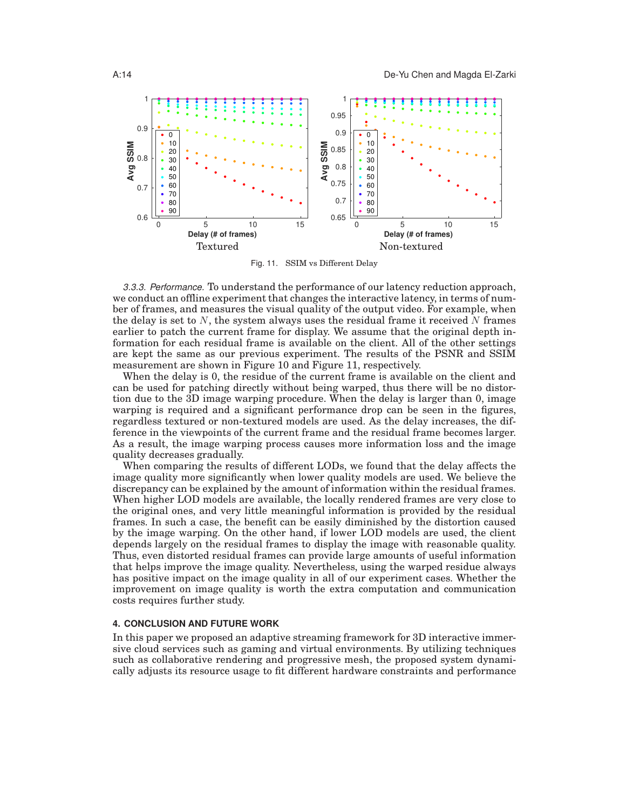

Fig. 11. SSIM vs Different Delay

*3.3.3. Performance.* To understand the performance of our latency reduction approach, we conduct an offline experiment that changes the interactive latency, in terms of number of frames, and measures the visual quality of the output video. For example, when the delay is set to  $N$ , the system always uses the residual frame it received  $N$  frames earlier to patch the current frame for display. We assume that the original depth information for each residual frame is available on the client. All of the other settings are kept the same as our previous experiment. The results of the PSNR and SSIM measurement are shown in Figure 10 and Figure 11, respectively.

When the delay is 0, the residue of the current frame is available on the client and can be used for patching directly without being warped, thus there will be no distortion due to the 3D image warping procedure. When the delay is larger than 0, image warping is required and a significant performance drop can be seen in the figures, regardless textured or non-textured models are used. As the delay increases, the difference in the viewpoints of the current frame and the residual frame becomes larger. As a result, the image warping process causes more information loss and the image quality decreases gradually.

When comparing the results of different LODs, we found that the delay affects the image quality more significantly when lower quality models are used. We believe the discrepancy can be explained by the amount of information within the residual frames. When higher LOD models are available, the locally rendered frames are very close to the original ones, and very little meaningful information is provided by the residual frames. In such a case, the benefit can be easily diminished by the distortion caused by the image warping. On the other hand, if lower LOD models are used, the client depends largely on the residual frames to display the image with reasonable quality. Thus, even distorted residual frames can provide large amounts of useful information that helps improve the image quality. Nevertheless, using the warped residue always has positive impact on the image quality in all of our experiment cases. Whether the improvement on image quality is worth the extra computation and communication costs requires further study.

# **4. CONCLUSION AND FUTURE WORK**

In this paper we proposed an adaptive streaming framework for 3D interactive immersive cloud services such as gaming and virtual environments. By utilizing techniques such as collaborative rendering and progressive mesh, the proposed system dynamically adjusts its resource usage to fit different hardware constraints and performance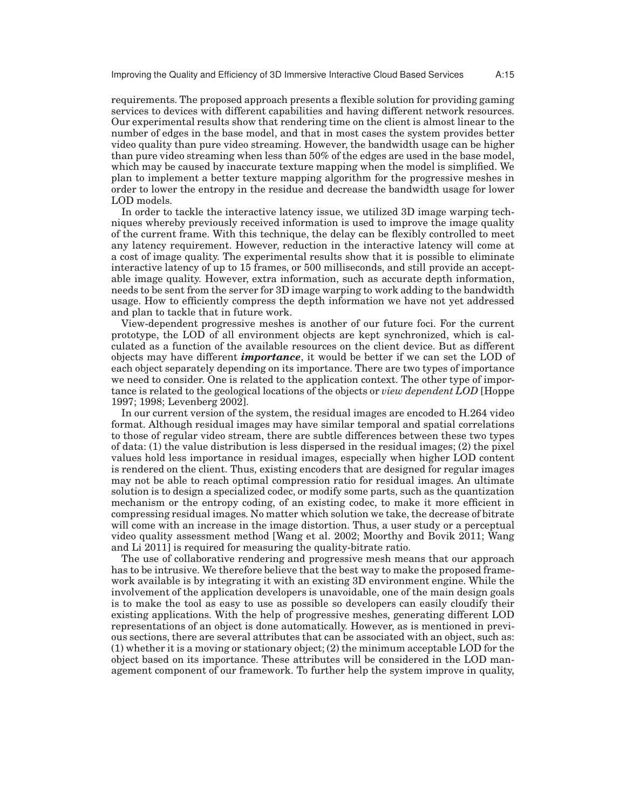requirements. The proposed approach presents a flexible solution for providing gaming services to devices with different capabilities and having different network resources. Our experimental results show that rendering time on the client is almost linear to the number of edges in the base model, and that in most cases the system provides better video quality than pure video streaming. However, the bandwidth usage can be higher than pure video streaming when less than 50% of the edges are used in the base model, which may be caused by inaccurate texture mapping when the model is simplified. We plan to implement a better texture mapping algorithm for the progressive meshes in order to lower the entropy in the residue and decrease the bandwidth usage for lower LOD models.

In order to tackle the interactive latency issue, we utilized 3D image warping techniques whereby previously received information is used to improve the image quality of the current frame. With this technique, the delay can be flexibly controlled to meet any latency requirement. However, reduction in the interactive latency will come at a cost of image quality. The experimental results show that it is possible to eliminate interactive latency of up to 15 frames, or 500 milliseconds, and still provide an acceptable image quality. However, extra information, such as accurate depth information, needs to be sent from the server for 3D image warping to work adding to the bandwidth usage. How to efficiently compress the depth information we have not yet addressed and plan to tackle that in future work.

View-dependent progressive meshes is another of our future foci. For the current prototype, the LOD of all environment objects are kept synchronized, which is calculated as a function of the available resources on the client device. But as different objects may have different *importance*, it would be better if we can set the LOD of each object separately depending on its importance. There are two types of importance we need to consider. One is related to the application context. The other type of importance is related to the geological locations of the objects or *view dependent LOD* [Hoppe 1997; 1998; Levenberg 2002].

In our current version of the system, the residual images are encoded to H.264 video format. Although residual images may have similar temporal and spatial correlations to those of regular video stream, there are subtle differences between these two types of data: (1) the value distribution is less dispersed in the residual images; (2) the pixel values hold less importance in residual images, especially when higher LOD content is rendered on the client. Thus, existing encoders that are designed for regular images may not be able to reach optimal compression ratio for residual images. An ultimate solution is to design a specialized codec, or modify some parts, such as the quantization mechanism or the entropy coding, of an existing codec, to make it more efficient in compressing residual images. No matter which solution we take, the decrease of bitrate will come with an increase in the image distortion. Thus, a user study or a perceptual video quality assessment method [Wang et al. 2002; Moorthy and Bovik 2011; Wang and Li 2011] is required for measuring the quality-bitrate ratio.

The use of collaborative rendering and progressive mesh means that our approach has to be intrusive. We therefore believe that the best way to make the proposed framework available is by integrating it with an existing 3D environment engine. While the involvement of the application developers is unavoidable, one of the main design goals is to make the tool as easy to use as possible so developers can easily cloudify their existing applications. With the help of progressive meshes, generating different LOD representations of an object is done automatically. However, as is mentioned in previous sections, there are several attributes that can be associated with an object, such as: (1) whether it is a moving or stationary object; (2) the minimum acceptable LOD for the object based on its importance. These attributes will be considered in the LOD management component of our framework. To further help the system improve in quality,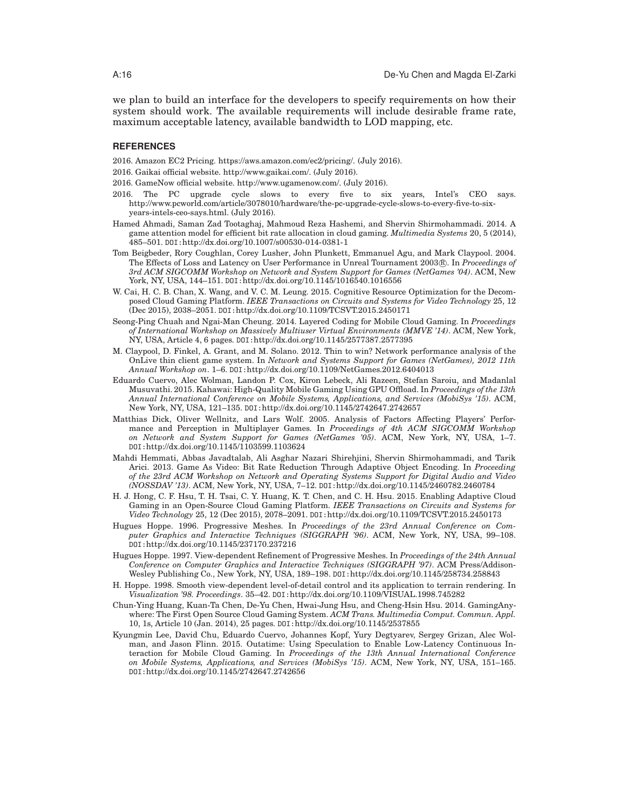we plan to build an interface for the developers to specify requirements on how their system should work. The available requirements will include desirable frame rate, maximum acceptable latency, available bandwidth to LOD mapping, etc.

#### **REFERENCES**

- 2016. Amazon EC2 Pricing. https://aws.amazon.com/ec2/pricing/. (July 2016).
- 2016. Gaikai official website. http://www.gaikai.com/. (July 2016).
- 2016. GameNow official website. http://www.ugamenow.com/. (July 2016).
- 2016. The PC upgrade cycle slows to every five to six years, Intel's CEO says. http://www.pcworld.com/article/3078010/hardware/the-pc-upgrade-cycle-slows-to-every-five-to-sixyears-intels-ceo-says.html. (July 2016).
- Hamed Ahmadi, Saman Zad Tootaghaj, Mahmoud Reza Hashemi, and Shervin Shirmohammadi. 2014. A game attention model for efficient bit rate allocation in cloud gaming. *Multimedia Systems* 20, 5 (2014), 485–501. DOI:http://dx.doi.org/10.1007/s00530-014-0381-1
- Tom Beigbeder, Rory Coughlan, Corey Lusher, John Plunkett, Emmanuel Agu, and Mark Claypool. 2004. The Effects of Loss and Latency on User Performance in Unreal Tournament 2003 R . In *Proceedings of 3rd ACM SIGCOMM Workshop on Network and System Support for Games (NetGames '04)*. ACM, New York, NY, USA, 144–151. DOI:http://dx.doi.org/10.1145/1016540.1016556
- W. Cai, H. C. B. Chan, X. Wang, and V. C. M. Leung. 2015. Cognitive Resource Optimization for the Decomposed Cloud Gaming Platform. *IEEE Transactions on Circuits and Systems for Video Technology* 25, 12 (Dec 2015), 2038–2051. DOI:http://dx.doi.org/10.1109/TCSVT.2015.2450171
- Seong-Ping Chuah and Ngai-Man Cheung. 2014. Layered Coding for Mobile Cloud Gaming. In *Proceedings of International Workshop on Massively Multiuser Virtual Environments (MMVE '14)*. ACM, New York, NY, USA, Article 4, 6 pages. DOI:http://dx.doi.org/10.1145/2577387.2577395
- M. Claypool, D. Finkel, A. Grant, and M. Solano. 2012. Thin to win? Network performance analysis of the OnLive thin client game system. In *Network and Systems Support for Games (NetGames), 2012 11th Annual Workshop on*. 1–6. DOI:http://dx.doi.org/10.1109/NetGames.2012.6404013
- Eduardo Cuervo, Alec Wolman, Landon P. Cox, Kiron Lebeck, Ali Razeen, Stefan Saroiu, and Madanlal Musuvathi. 2015. Kahawai: High-Quality Mobile Gaming Using GPU Offload. In *Proceedings of the 13th Annual International Conference on Mobile Systems, Applications, and Services (MobiSys '15)*. ACM, New York, NY, USA, 121–135. DOI:http://dx.doi.org/10.1145/2742647.2742657
- Matthias Dick, Oliver Wellnitz, and Lars Wolf. 2005. Analysis of Factors Affecting Players' Performance and Perception in Multiplayer Games. In *Proceedings of 4th ACM SIGCOMM Workshop on Network and System Support for Games (NetGames '05)*. ACM, New York, NY, USA, 1–7. DOI:http://dx.doi.org/10.1145/1103599.1103624
- Mahdi Hemmati, Abbas Javadtalab, Ali Asghar Nazari Shirehjini, Shervin Shirmohammadi, and Tarik Arici. 2013. Game As Video: Bit Rate Reduction Through Adaptive Object Encoding. In *Proceeding of the 23rd ACM Workshop on Network and Operating Systems Support for Digital Audio and Video (NOSSDAV '13)*. ACM, New York, NY, USA, 7–12. DOI:http://dx.doi.org/10.1145/2460782.2460784
- H. J. Hong, C. F. Hsu, T. H. Tsai, C. Y. Huang, K. T. Chen, and C. H. Hsu. 2015. Enabling Adaptive Cloud Gaming in an Open-Source Cloud Gaming Platform. *IEEE Transactions on Circuits and Systems for Video Technology* 25, 12 (Dec 2015), 2078–2091. DOI:http://dx.doi.org/10.1109/TCSVT.2015.2450173
- Hugues Hoppe. 1996. Progressive Meshes. In *Proceedings of the 23rd Annual Conference on Computer Graphics and Interactive Techniques (SIGGRAPH '96)*. ACM, New York, NY, USA, 99–108. DOI:http://dx.doi.org/10.1145/237170.237216
- Hugues Hoppe. 1997. View-dependent Refinement of Progressive Meshes. In *Proceedings of the 24th Annual Conference on Computer Graphics and Interactive Techniques (SIGGRAPH '97)*. ACM Press/Addison-Wesley Publishing Co., New York, NY, USA, 189–198. DOI:http://dx.doi.org/10.1145/258734.258843
- H. Hoppe. 1998. Smooth view-dependent level-of-detail control and its application to terrain rendering. In *Visualization '98. Proceedings*. 35–42. DOI:http://dx.doi.org/10.1109/VISUAL.1998.745282
- Chun-Ying Huang, Kuan-Ta Chen, De-Yu Chen, Hwai-Jung Hsu, and Cheng-Hsin Hsu. 2014. GamingAnywhere: The First Open Source Cloud Gaming System. *ACM Trans. Multimedia Comput. Commun. Appl.* 10, 1s, Article 10 (Jan. 2014), 25 pages. DOI:http://dx.doi.org/10.1145/2537855
- Kyungmin Lee, David Chu, Eduardo Cuervo, Johannes Kopf, Yury Degtyarev, Sergey Grizan, Alec Wolman, and Jason Flinn. 2015. Outatime: Using Speculation to Enable Low-Latency Continuous Interaction for Mobile Cloud Gaming. In *Proceedings of the 13th Annual International Conference on Mobile Systems, Applications, and Services (MobiSys '15)*. ACM, New York, NY, USA, 151–165. DOI:http://dx.doi.org/10.1145/2742647.2742656